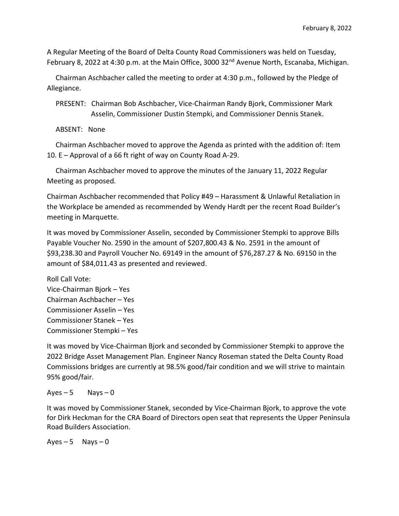A Regular Meeting of the Board of Delta County Road Commissioners was held on Tuesday, February 8, 2022 at 4:30 p.m. at the Main Office, 3000 32<sup>nd</sup> Avenue North, Escanaba, Michigan.

 Chairman Aschbacher called the meeting to order at 4:30 p.m., followed by the Pledge of Allegiance.

 PRESENT: Chairman Bob Aschbacher, Vice-Chairman Randy Bjork, Commissioner Mark Asselin, Commissioner Dustin Stempki, and Commissioner Dennis Stanek.

ABSENT: None

 Chairman Aschbacher moved to approve the Agenda as printed with the addition of: Item 10. E – Approval of a 66 ft right of way on County Road A-29.

 Chairman Aschbacher moved to approve the minutes of the January 11, 2022 Regular Meeting as proposed.

Chairman Aschbacher recommended that Policy #49 – Harassment & Unlawful Retaliation in the Workplace be amended as recommended by Wendy Hardt per the recent Road Builder's meeting in Marquette.

It was moved by Commissioner Asselin, seconded by Commissioner Stempki to approve Bills Payable Voucher No. 2590 in the amount of \$207,800.43 & No. 2591 in the amount of \$93,238.30 and Payroll Voucher No. 69149 in the amount of \$76,287.27 & No. 69150 in the amount of \$84,011.43 as presented and reviewed.

```
Roll Call Vote:
Vice-Chairman Bjork – Yes
Chairman Aschbacher – Yes
Commissioner Asselin – Yes
Commissioner Stanek – Yes
Commissioner Stempki – Yes
```
It was moved by Vice-Chairman Bjork and seconded by Commissioner Stempki to approve the 2022 Bridge Asset Management Plan. Engineer Nancy Roseman stated the Delta County Road Commissions bridges are currently at 98.5% good/fair condition and we will strive to maintain 95% good/fair.

 $Ayes - 5$  Nays  $-0$ 

It was moved by Commissioner Stanek, seconded by Vice-Chairman Bjork, to approve the vote for Dirk Heckman for the CRA Board of Directors open seat that represents the Upper Peninsula Road Builders Association.

 $Aves - 5$  Nays  $-0$